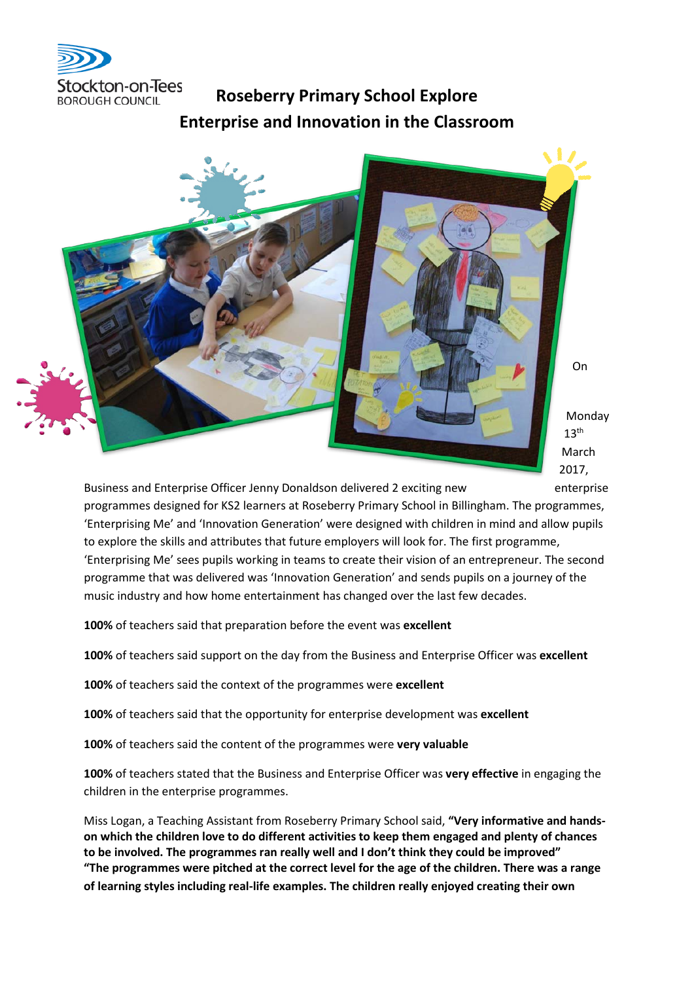

## **Roseberry Primary School Explore Enterprise and Innovation in the Classroom**



Monday 2017,

Business and Enterprise Officer Jenny Donaldson delivered 2 exciting new enterprise programmes designed for KS2 learners at Roseberry Primary School in Billingham. The programmes, 'Enterprising Me' and 'Innovation Generation' were designed with children in mind and allow pupils to explore the skills and attributes that future employers will look for. The first programme, 'Enterprising Me' sees pupils working in teams to create their vision of an entrepreneur. The second programme that was delivered was 'Innovation Generation' and sends pupils on a journey of the music industry and how home entertainment has changed over the last few decades.

**100%** of teachers said that preparation before the event was **excellent** 

**100%** of teachers said support on the day from the Business and Enterprise Officer was **excellent** 

**100%** of teachers said the context of the programmes were **excellent** 

**100%** of teachers said that the opportunity for enterprise development was **excellent** 

**100%** of teachers said the content of the programmes were **very valuable** 

**100%** of teachers stated that the Business and Enterprise Officer was **very effective** in engaging the children in the enterprise programmes.

Miss Logan, a Teaching Assistant from Roseberry Primary School said, **"Very informative and handson which the children love to do different activities to keep them engaged and plenty of chances to be involved. The programmes ran really well and I don't think they could be improved" "The programmes were pitched at the correct level for the age of the children. There was a range of learning styles including real-life examples. The children really enjoyed creating their own**